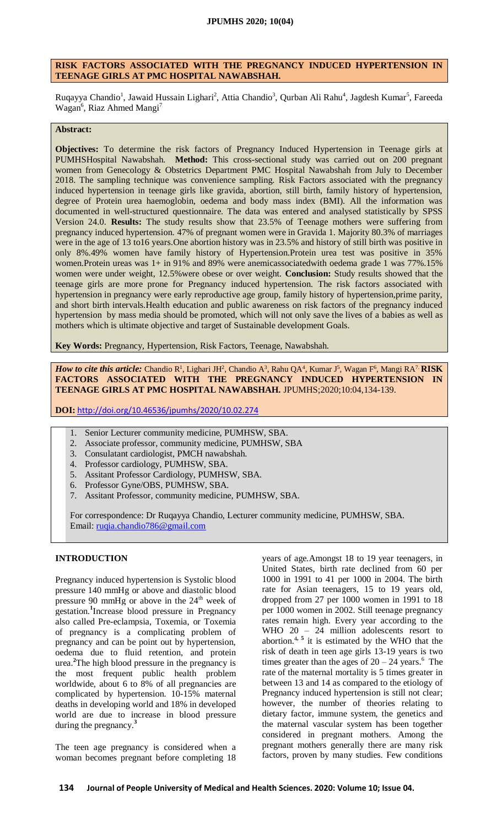### **RISK FACTORS ASSOCIATED WITH THE PREGNANCY INDUCED HYPERTENSION IN TEENAGE GIRLS AT PMC HOSPITAL NAWABSHAH.**

Ruqayya Chandio<sup>1</sup>, Jawaid Hussain Lighari<sup>2</sup>, Attia Chandio<sup>3</sup>, Qurban Ali Rahu<sup>4</sup>, Jagdesh Kumar<sup>5</sup>, Fareeda Wagan<sup>6</sup>, Riaz Ahmed Mangi<sup>7</sup>

### **Abstract:**

**Objectives:** To determine the risk factors of Pregnancy Induced Hypertension in Teenage girls at PUMHSHospital Nawabshah. **Method:** This cross-sectional study was carried out on 200 pregnant women from Genecology & Obstetrics Department PMC Hospital Nawabshah from July to December 2018. The sampling technique was convenience sampling. Risk Factors associated with the pregnancy induced hypertension in teenage girls like gravida, abortion, still birth, family history of hypertension, degree of Protein urea haemoglobin, oedema and body mass index (BMI). All the information was documented in well-structured questionnaire. The data was entered and analysed statistically by SPSS Version 24.0. **Results:** The study results show that 23.5% of Teenage mothers were suffering from pregnancy induced hypertension. 47% of pregnant women were in Gravida 1. Majority 80.3% of marriages were in the age of 13 to16 years.One abortion history was in 23.5% and history of still birth was positive in only 8%.49% women have family history of Hypertension.Protein urea test was positive in 35% women.Protein ureas was 1+ in 91% and 89% were anemicassociatedwith oedema grade 1 was 77%.15% women were under weight, 12.5%were obese or over weight. **Conclusion:** Study results showed that the teenage girls are more prone for Pregnancy induced hypertension. The risk factors associated with hypertension in pregnancy were early reproductive age group, family history of hypertension,prime parity, and short birth intervals.Health education and public awareness on risk factors of the pregnancy induced hypertension by mass media should be promoted, which will not only save the lives of a babies as well as mothers which is ultimate objective and target of Sustainable development Goals.

**Key Words:** Pregnancy, Hypertension, Risk Factors, Teenage, Nawabshah.

*How to cite this article:* Chandio R<sup>1</sup>, Lighari JH<sup>2</sup>, Chandio A<sup>3</sup>, Rahu QA<sup>4</sup>, Kumar J<sup>5</sup>, Wagan F<sup>6</sup>, Mangi RA<sup>7.</sup> **RISK FACTORS ASSOCIATED WITH THE PREGNANCY INDUCED HYPERTENSION IN TEENAGE GIRLS AT PMC HOSPITAL NAWABSHAH.** JPUMHS;2020;10:04,134-139.

**DOI:** <http://doi.org/10.46536/jpumhs/2020/10.02.274>

- 1. Senior Lecturer community medicine, PUMHSW, SBA.
- 2. Associate professor, community medicine, PUMHSW, SBA
- 3. Consulatant cardiologist, PMCH nawabshah.
- 4. Professor cardiology, PUMHSW, SBA.
- 5. Assitant Professor Cardiology, PUMHSW, SBA.
- 6. Professor Gyne/OBS, PUMHSW, SBA.
- 7. Assitant Professor, community medicine, PUMHSW, SBA.

For correspondence: Dr Ruqayya Chandio, Lecturer community medicine, PUMHSW, SBA. Email: [ruqia.chandio786@gmail.com](mailto:ruqia.chandio786@gmail.com)

### **INTRODUCTION**

Pregnancy induced hypertension is Systolic blood pressure 140 mmHg or above and diastolic blood pressure 90 mmHg or above in the  $24<sup>th</sup>$  week of gestation.**<sup>1</sup>** Increase blood pressure in Pregnancy also called Pre-eclampsia, Toxemia, or Toxemia of pregnancy is a complicating problem of pregnancy and can be point out by hypertension, oedema due to fluid retention, and protein urea. **<sup>2</sup>**The high blood pressure in the pregnancy is the most frequent public health problem worldwide, about 6 to 8% of all pregnancies are complicated by hypertension. 10-15% maternal deaths in developing world and 18% in developed world are due to increase in blood pressure during the pregnancy.**<sup>3</sup>**

The teen age pregnancy is considered when a woman becomes pregnant before completing 18

years of age.Amongst 18 to 19 year teenagers, in United States, birth rate declined from 60 per 1000 in 1991 to 41 per 1000 in 2004. The birth rate for Asian teenagers, 15 to 19 years old, dropped from 27 per 1000 women in 1991 to 18 per 1000 women in 2002. Still teenage pregnancy rates remain high. Every year according to the WHO 20 - 24 million adolescents resort to abortion.<sup>4, 5</sup> it is estimated by the WHO that the risk of death in teen age girls 13-19 years is two times greater than the ages of  $20 - 24$  years.<sup>6</sup> The rate of the maternal mortality is 5 times greater in between 13 and 14 as compared to the etiology of Pregnancy induced hypertension is still not clear; however, the number of theories relating to dietary factor, immune system, the genetics and the maternal vascular system has been together considered in pregnant mothers. Among the pregnant mothers generally there are many risk factors, proven by many studies. Few conditions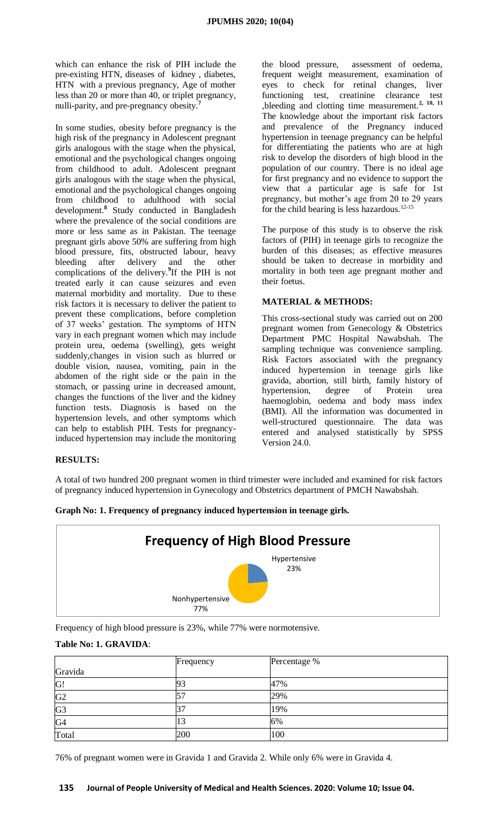which can enhance the risk of PIH include the pre-existing HTN, diseases of kidney , diabetes, HTN with a previous pregnancy, Age of mother less than 20 or more than 40, or triplet pregnancy, nulli-parity, and pre-pregnancy obesity.**<sup>7</sup>**

In some studies, obesity before pregnancy is the high risk of the pregnancy in Adolescent pregnant girls analogous with the stage when the physical, emotional and the psychological changes ongoing from childhood to adult. Adolescent pregnant girls analogous with the stage when the physical, emotional and the psychological changes ongoing from childhood to adulthood with social development.**<sup>8</sup>** Study conducted in Bangladesh where the prevalence of the social conditions are more or less same as in Pakistan. The teenage pregnant girls above 50% are suffering from high blood pressure, fits, obstructed labour, heavy bleeding after delivery and the other complications of the delivery.**<sup>9</sup>** If the PIH is not treated early it can cause seizures and even maternal morbidity and mortality. Due to these risk factors it is necessary to deliver the patient to prevent these complications, before completion of 37 weeks' gestation. The symptoms of HTN vary in each pregnant women which may include protein urea, oedema (swelling), gets weight suddenly,changes in vision such as blurred or double vision, nausea, vomiting, pain in the abdomen of the right side or the pain in the stomach, or passing urine in decreased amount, changes the functions of the liver and the kidney function tests. Diagnosis is based on the hypertension levels, and other symptoms which can help to establish PIH. Tests for pregnancyinduced hypertension may include the monitoring

the blood pressure, assessment of oedema, frequent weight measurement, examination of eyes to check for retinal changes, liver functioning test, creatinine clearance test ,bleeding and clotting time measurement.**2, 10, 11** The knowledge about the important risk factors and prevalence of the Pregnancy induced hypertension in teenage pregnancy can be helpful for differentiating the patients who are at high risk to develop the disorders of high blood in the population of our country. There is no ideal age for first pregnancy and no evidence to support the view that a particular age is safe for 1st pregnancy, but mother's age from 20 to 29 years for the child bearing is less hazardous. $12-15$ 

The purpose of this study is to observe the risk factors of (PIH) in teenage girls to recognize the burden of this diseases; as effective measures should be taken to decrease in morbidity and mortality in both teen age pregnant mother and their foetus.

#### **MATERIAL & METHODS:**

This cross-sectional study was carried out on 200 pregnant women from Genecology & Obstetrics Department PMC Hospital Nawabshah. The sampling technique was convenience sampling. Risk Factors associated with the pregnancy induced hypertension in teenage girls like gravida, abortion, still birth, family history of hypertension, degree of Protein urea haemoglobin, oedema and body mass index (BMI). All the information was documented in well-structured questionnaire. The data was entered and analysed statistically by SPSS Version 24.0.

#### **RESULTS:**

A total of two hundred 200 pregnant women in third trimester were included and examined for risk factors of pregnancy induced hypertension in Gynecology and Obstetrics department of PMCH Nawabshah.



**Graph No: 1. Frequency of pregnancy induced hypertension in teenage girls.**

Frequency of high blood pressure is 23%, while 77% were normotensive.

### **Table No: 1. GRAVIDA**:

|                | Frequency                | Percentage % |
|----------------|--------------------------|--------------|
| Gravida        |                          |              |
| G!             | 93                       | 47%          |
| G <sub>2</sub> | $\overline{\phantom{a}}$ | 29%          |
| G <sub>3</sub> |                          | 19%          |
| G4             | 13                       | 6%           |
| Total          | 200                      | 100          |

76% of pregnant women were in Gravida 1 and Gravida 2. While only 6% were in Gravida 4.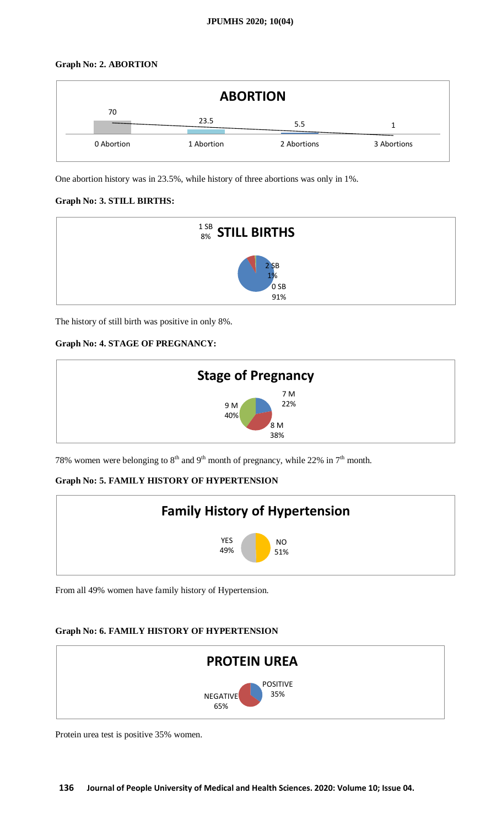# **Graph No: 2. ABORTION**



One abortion history was in 23.5%, while history of three abortions was only in 1%.

# **Graph No: 3. STILL BIRTHS:**



The history of still birth was positive in only 8%.

# **Graph No: 4. STAGE OF PREGNANCY:**



78% women were belonging to  $8<sup>th</sup>$  and  $9<sup>th</sup>$  month of pregnancy, while 22% in  $7<sup>th</sup>$  month.

# **Graph No: 5. FAMILY HISTORY OF HYPERTENSION**



From all 49% women have family history of Hypertension.

# **Graph No: 6. FAMILY HISTORY OF HYPERTENSION**



Protein urea test is positive 35% women.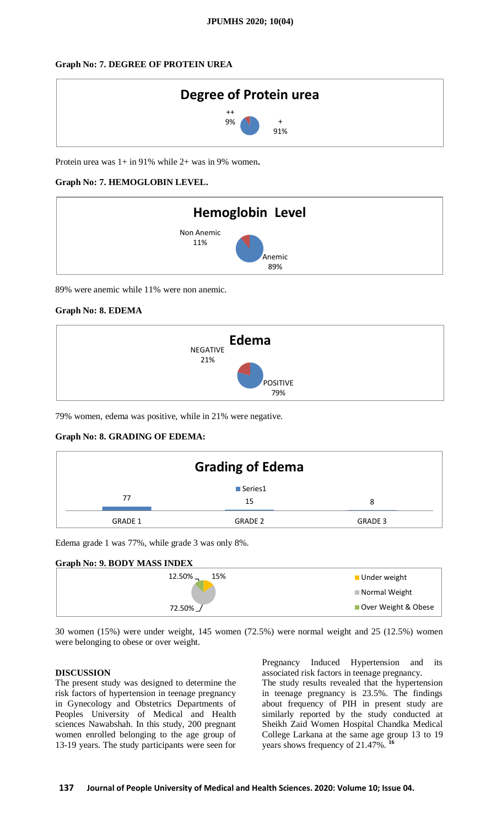### **Graph No: 7. DEGREE OF PROTEIN UREA**



Protein urea was 1+ in 91% while 2+ was in 9% women**.**

### **Graph No: 7. HEMOGLOBIN LEVEL.**



89% were anemic while 11% were non anemic.

### **Graph No: 8. EDEMA**



79% women, edema was positive, while in 21% were negative.

### **Graph No: 8. GRADING OF EDEMA:**

|                | <b>Grading of Edema</b> |         |  |
|----------------|-------------------------|---------|--|
| 77             | ■ Series1<br>15         | 8       |  |
| <b>GRADE 1</b> | <b>GRADE 2</b>          | GRADE 3 |  |

Edema grade 1 was 77%, while grade 3 was only 8%.

# **Graph No: 9. BODY MASS INDEX**



30 women (15%) were under weight, 145 women (72.5%) were normal weight and 25 (12.5%) women were belonging to obese or over weight.

### **DISCUSSION**

The present study was designed to determine the risk factors of hypertension in teenage pregnancy in Gynecology and Obstetrics Departments of Peoples University of Medical and Health sciences Nawabshah. In this study, 200 pregnant women enrolled belonging to the age group of 13-19 years. The study participants were seen for

Pregnancy Induced Hypertension and its associated risk factors in teenage pregnancy.

The study results revealed that the hypertension in teenage pregnancy is 23.5%. The findings about frequency of PIH in present study are similarly reported by the study conducted at Sheikh Zaid Women Hospital Chandka Medical College Larkana at the same age group 13 to 19 years shows frequency of 21.47%. **<sup>16</sup>**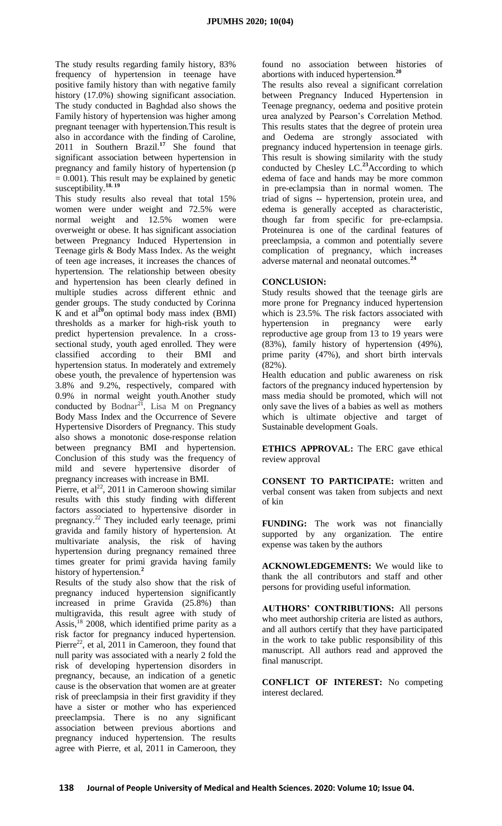The study results regarding family history, 83% frequency of hypertension in teenage have positive family history than with negative family history (17.0%) showing significant association. The study conducted in Baghdad also shows the Family history of hypertension was higher among pregnant teenager with hypertension.This result is also in accordance with the finding of Caroline, 2011 in Southern Brazil.**<sup>17</sup>** She found that significant association between hypertension in pregnancy and family history of hypertension (p  $= 0.001$ ). This result may be explained by genetic susceptibility.**18. 19**

This study results also reveal that total 15% women were under weight and 72.5% were normal weight and 12.5% women were overweight or obese. It has significant association between Pregnancy Induced Hypertension in Teenage girls & Body Mass Index. As the weight of teen age increases, it increases the chances of hypertension. The relationship between obesity and hypertension has been clearly defined in multiple studies across different ethnic and gender groups. The study conducted by Corinna  $\overline{K}$  and et al<sup>20</sup>on optimal body mass index (BMI) thresholds as a marker for high-risk youth to predict hypertension prevalence. In a crosssectional study, youth aged enrolled. They were classified according to their BMI and hypertension status. In moderately and extremely obese youth, the prevalence of hypertension was 3.8% and 9.2%, respectively, compared with 0.9% in normal weight youth.Another study conducted by Bodnar<sup>21</sup>, Lisa M on Pregnancy Body Mass Index and the Occurrence of Severe Hypertensive Disorders of Pregnancy. This study also shows a monotonic dose-response relation between pregnancy BMI and hypertension. Conclusion of this study was the frequency of mild and severe hypertensive disorder of pregnancy increases with increase in BMI.

Pierre, et al<sup>22</sup>, 2011 in Cameroon showing similar results with this study finding with different factors associated to hypertensive disorder in pregnancy.<sup>22</sup> They included early teenage, primi gravida and family history of hypertension. At multivariate analysis, the risk of having hypertension during pregnancy remained three times greater for primi gravida having family history of hypertension.**<sup>2</sup>**

Results of the study also show that the risk of pregnancy induced hypertension significantly increased in prime Gravida (25.8%) than multigravida, this result agree with study of Assis,  $18$  2008, which identified prime parity as a risk factor for pregnancy induced hypertension. Pierre<sup>22</sup>, et al, 2011 in Cameroon, they found that null parity was associated with a nearly 2 fold the risk of developing hypertension disorders in pregnancy, because, an indication of a genetic cause is the observation that women are at greater risk of preeclampsia in their first gravidity if they have a sister or mother who has experienced preeclampsia. There is no any significant association between previous abortions and pregnancy induced hypertension. The results agree with Pierre, et al, 2011 in Cameroon, they

found no association between histories of abortions with induced hypertension.**<sup>20</sup>**

The results also reveal a significant correlation between Pregnancy Induced Hypertension in Teenage pregnancy, oedema and positive protein urea analyzed by Pearson's Correlation Method. This results states that the degree of protein urea and Oedema are strongly associated with pregnancy induced hypertension in teenage girls. This result is showing similarity with the study conducted by [Chesley](https://www.ncbi.nlm.nih.gov/pubmed/?term=Chesley%20LC%5BAuthor%5D&cauthor=true&cauthor_uid=1030794) LC. **<sup>23</sup>**According to which edema of face and hands may be more common in pre-eclampsia than in normal women. The triad of signs -- hypertension, protein urea, and edema is generally accepted as characteristic, though far from specific for pre-eclampsia. Proteinurea is one of the cardinal features of preeclampsia, a common and potentially severe complication of pregnancy, which increases adverse maternal and neonatal outcomes.**<sup>24</sup>**

#### **CONCLUSION:**

Study results showed that the teenage girls are more prone for Pregnancy induced hypertension which is 23.5%. The risk factors associated with hypertension in pregnancy were early reproductive age group from 13 to 19 years were (83%), family history of hypertension (49%), prime parity (47%), and short birth intervals (82%).

Health education and public awareness on risk factors of the pregnancy induced hypertension by mass media should be promoted, which will not only save the lives of a babies as well as mothers which is ultimate objective and target of Sustainable development Goals.

**ETHICS APPROVAL:** The ERC gave ethical review approval

**CONSENT TO PARTICIPATE:** written and verbal consent was taken from subjects and next of kin

**FUNDING:** The work was not financially supported by any organization. The entire expense was taken by the authors

**ACKNOWLEDGEMENTS:** We would like to thank the all contributors and staff and other persons for providing useful information.

**AUTHORS' CONTRIBUTIONS:** All persons who meet authorship criteria are listed as authors, and all authors certify that they have participated in the work to take public responsibility of this manuscript. All authors read and approved the final manuscript.

**CONFLICT OF INTEREST:** No competing interest declared.